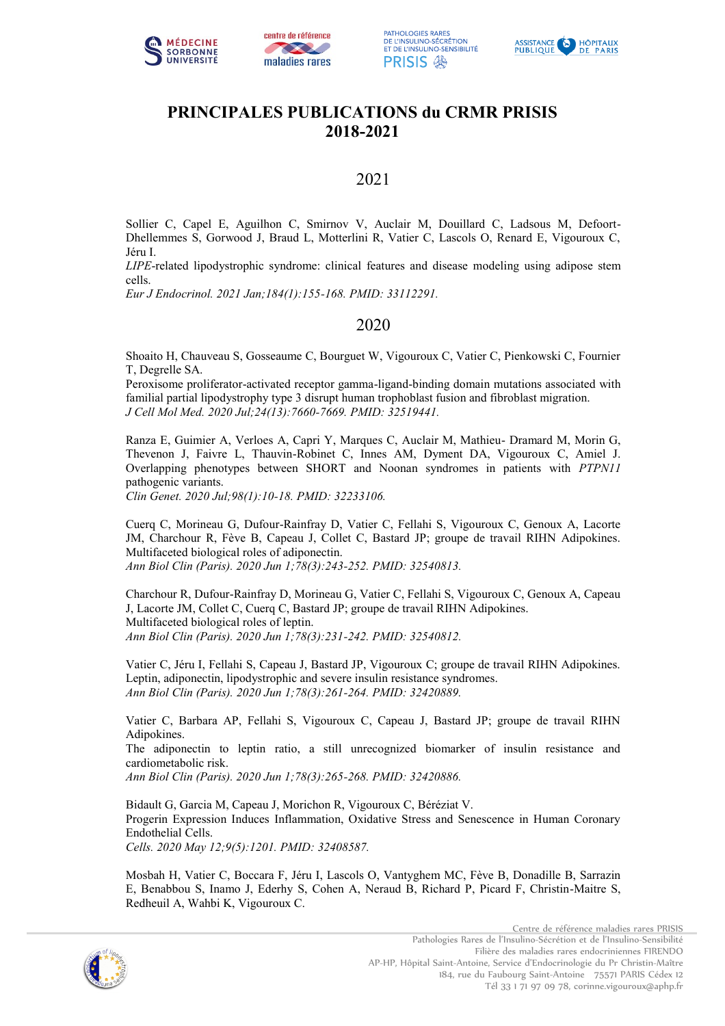





# **PRINCIPALES PUBLICATIONS du CRMR PRISIS 2018-2021**

## 2021

Sollier C, Capel E, Aguilhon C, Smirnov V, Auclair M, Douillard C, Ladsous M, Defoort-Dhellemmes S, Gorwood J, Braud L, Motterlini R, Vatier C, Lascols O, Renard E, Vigouroux C, Jéru I.

*LIPE*-related lipodystrophic syndrome: clinical features and disease modeling using adipose stem cells.

*Eur J Endocrinol. 2021 Jan;184(1):155-168. PMID: 33112291.*

### 2020

Shoaito H, Chauveau S, Gosseaume C, Bourguet W, Vigouroux C, Vatier C, Pienkowski C, Fournier T, Degrelle SA.

Peroxisome proliferator-activated receptor gamma-ligand-binding domain mutations associated with familial partial lipodystrophy type 3 disrupt human trophoblast fusion and fibroblast migration. *J Cell Mol Med. 2020 Jul;24(13):7660-7669. PMID: 32519441.*

Ranza E, Guimier A, Verloes A, Capri Y, Marques C, Auclair M, Mathieu- Dramard M, Morin G, Thevenon J, Faivre L, Thauvin-Robinet C, Innes AM, Dyment DA, Vigouroux C, Amiel J. Overlapping phenotypes between SHORT and Noonan syndromes in patients with *PTPN11* pathogenic variants.

*Clin Genet. 2020 Jul;98(1):10-18. PMID: 32233106.*

Cuerq C, Morineau G, Dufour-Rainfray D, Vatier C, Fellahi S, Vigouroux C, Genoux A, Lacorte JM, Charchour R, Fève B, Capeau J, Collet C, Bastard JP; groupe de travail RIHN Adipokines. Multifaceted biological roles of adiponectin. *Ann Biol Clin (Paris). 2020 Jun 1;78(3):243-252. PMID: 32540813.*

Charchour R, Dufour-Rainfray D, Morineau G, Vatier C, Fellahi S, Vigouroux C, Genoux A, Capeau J, Lacorte JM, Collet C, Cuerq C, Bastard JP; groupe de travail RIHN Adipokines. Multifaceted biological roles of leptin. *Ann Biol Clin (Paris). 2020 Jun 1;78(3):231-242. PMID: 32540812.*

Vatier C, Jéru I, Fellahi S, Capeau J, Bastard JP, Vigouroux C; groupe de travail RIHN Adipokines. Leptin, adiponectin, lipodystrophic and severe insulin resistance syndromes. *Ann Biol Clin (Paris). 2020 Jun 1;78(3):261-264. PMID: 32420889.*

Vatier C, Barbara AP, Fellahi S, Vigouroux C, Capeau J, Bastard JP; groupe de travail RIHN Adipokines.

The adiponectin to leptin ratio, a still unrecognized biomarker of insulin resistance and cardiometabolic risk.

*Ann Biol Clin (Paris). 2020 Jun 1;78(3):265-268. PMID: 32420886.*

Bidault G, Garcia M, Capeau J, Morichon R, Vigouroux C, Béréziat V. Progerin Expression Induces Inflammation, Oxidative Stress and Senescence in Human Coronary Endothelial Cells. *Cells. 2020 May 12;9(5):1201. PMID: 32408587.*

Mosbah H, Vatier C, Boccara F, Jéru I, Lascols O, Vantyghem MC, Fève B, Donadille B, Sarrazin E, Benabbou S, Inamo J, Ederhy S, Cohen A, Neraud B, Richard P, Picard F, Christin-Maitre S, Redheuil A, Wahbi K, Vigouroux C.

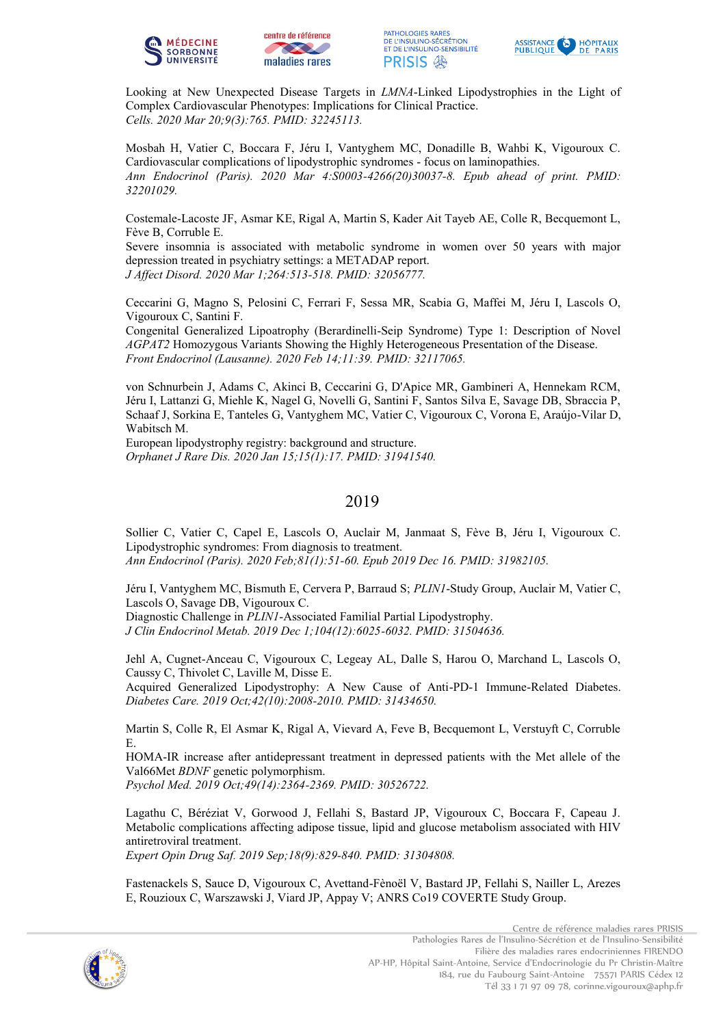



**PATHOLOGIES RARES DE L'INSULINO-SÉCRÉTION<br>ET DE L'INSULINO-SÉCRÉTION<br>ET DE L'INSULINO-SENSIBILITÉ** PRISIS 參



Looking at New Unexpected Disease Targets in *LMNA*-Linked Lipodystrophies in the Light of Complex Cardiovascular Phenotypes: Implications for Clinical Practice. *Cells. 2020 Mar 20;9(3):765. PMID: 32245113.*

Mosbah H, Vatier C, Boccara F, Jéru I, Vantyghem MC, Donadille B, Wahbi K, Vigouroux C. Cardiovascular complications of lipodystrophic syndromes - focus on laminopathies. *Ann Endocrinol (Paris). 2020 Mar 4:S0003-4266(20)30037-8. Epub ahead of print. PMID: 32201029.*

Costemale-Lacoste JF, Asmar KE, Rigal A, Martin S, Kader Ait Tayeb AE, Colle R, Becquemont L, Fève B, Corruble E.

Severe insomnia is associated with metabolic syndrome in women over 50 years with major depression treated in psychiatry settings: a METADAP report. *J Affect Disord. 2020 Mar 1;264:513-518. PMID: 32056777.*

Ceccarini G, Magno S, Pelosini C, Ferrari F, Sessa MR, Scabia G, Maffei M, Jéru I, Lascols O, Vigouroux C, Santini F.

Congenital Generalized Lipoatrophy (Berardinelli-Seip Syndrome) Type 1: Description of Novel *AGPAT2* Homozygous Variants Showing the Highly Heterogeneous Presentation of the Disease. *Front Endocrinol (Lausanne). 2020 Feb 14;11:39. PMID: 32117065.*

von Schnurbein J, Adams C, Akinci B, Ceccarini G, D'Apice MR, Gambineri A, Hennekam RCM, Jéru I, Lattanzi G, Miehle K, Nagel G, Novelli G, Santini F, Santos Silva E, Savage DB, Sbraccia P, Schaaf J, Sorkina E, Tanteles G, Vantyghem MC, Vatier C, Vigouroux C, Vorona E, Araújo-Vilar D, Wabitsch M.

European lipodystrophy registry: background and structure. *Orphanet J Rare Dis. 2020 Jan 15;15(1):17. PMID: 31941540.*

#### 2019

Sollier C, Vatier C, Capel E, Lascols O, Auclair M, Janmaat S, Fève B, Jéru I, Vigouroux C. Lipodystrophic syndromes: From diagnosis to treatment. *Ann Endocrinol (Paris). 2020 Feb;81(1):51-60. Epub 2019 Dec 16. PMID: 31982105.*

Jéru I, Vantyghem MC, Bismuth E, Cervera P, Barraud S; *PLIN1*-Study Group, Auclair M, Vatier C, Lascols O, Savage DB, Vigouroux C. Diagnostic Challenge in *PLIN1*-Associated Familial Partial Lipodystrophy.

*J Clin Endocrinol Metab. 2019 Dec 1;104(12):6025-6032. PMID: 31504636.*

Jehl A, Cugnet-Anceau C, Vigouroux C, Legeay AL, Dalle S, Harou O, Marchand L, Lascols O, Caussy C, Thivolet C, Laville M, Disse E.

Acquired Generalized Lipodystrophy: A New Cause of Anti-PD-1 Immune-Related Diabetes. *Diabetes Care. 2019 Oct;42(10):2008-2010. PMID: 31434650.*

Martin S, Colle R, El Asmar K, Rigal A, Vievard A, Feve B, Becquemont L, Verstuyft C, Corruble E.

HOMA-IR increase after antidepressant treatment in depressed patients with the Met allele of the Val66Met *BDNF* genetic polymorphism.

*Psychol Med. 2019 Oct;49(14):2364-2369. PMID: 30526722.*

Lagathu C, Béréziat V, Gorwood J, Fellahi S, Bastard JP, Vigouroux C, Boccara F, Capeau J. Metabolic complications affecting adipose tissue, lipid and glucose metabolism associated with HIV antiretroviral treatment.

*Expert Opin Drug Saf. 2019 Sep;18(9):829-840. PMID: 31304808.*

Fastenackels S, Sauce D, Vigouroux C, Avettand-Fènoël V, Bastard JP, Fellahi S, Nailler L, Arezes E, Rouzioux C, Warszawski J, Viard JP, Appay V; ANRS Co19 COVERTE Study Group.

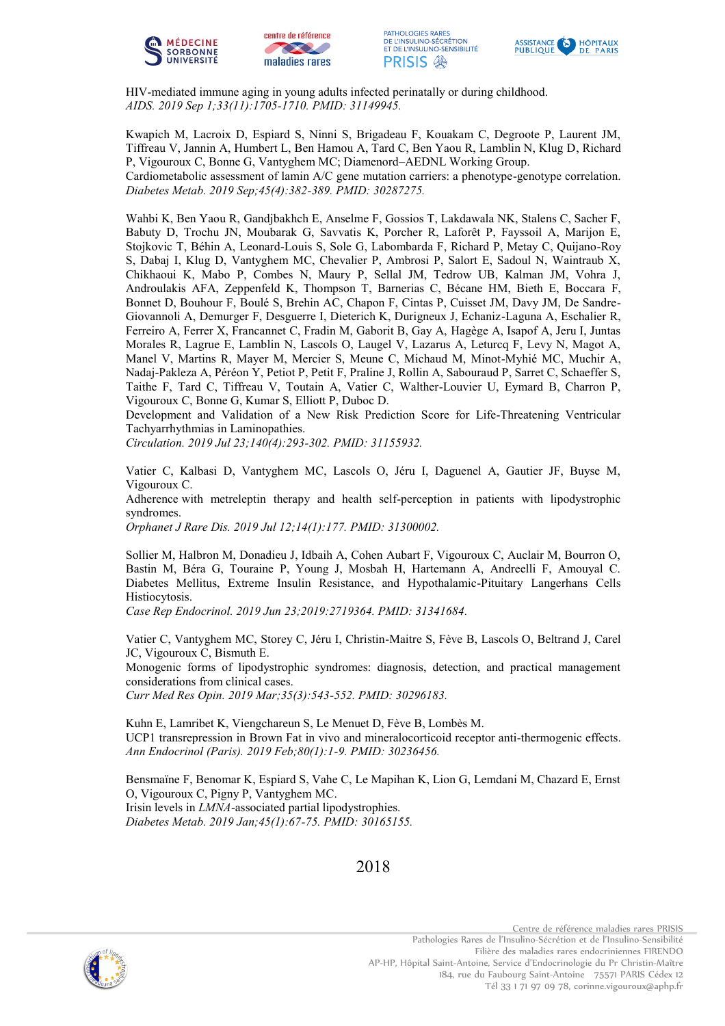



**PATHOLOGIES RARES DE L'INSULINO-SÉCRÉTION<br>ET DE L'INSULINO-SÉCRÉTION<br>ET DE L'INSULINO-SENSIBILITÉ PRISIS 參** 



HIV-mediated immune aging in young adults infected perinatally or during childhood. *AIDS. 2019 Sep 1;33(11):1705-1710. PMID: 31149945.*

Kwapich M, Lacroix D, Espiard S, Ninni S, Brigadeau F, Kouakam C, Degroote P, Laurent JM, Tiffreau V, Jannin A, Humbert L, Ben Hamou A, Tard C, Ben Yaou R, Lamblin N, Klug D, Richard P, Vigouroux C, Bonne G, Vantyghem MC; Diamenord–AEDNL Working Group. Cardiometabolic assessment of lamin A/C gene mutation carriers: a phenotype-genotype correlation. *Diabetes Metab. 2019 Sep;45(4):382-389. PMID: 30287275.*

Wahbi K, Ben Yaou R, Gandjbakhch E, Anselme F, Gossios T, Lakdawala NK, Stalens C, Sacher F, Babuty D, Trochu JN, Moubarak G, Savvatis K, Porcher R, Laforêt P, Fayssoil A, Marijon E, Stojkovic T, Béhin A, Leonard-Louis S, Sole G, Labombarda F, Richard P, Metay C, Quijano-Roy S, Dabaj I, Klug D, Vantyghem MC, Chevalier P, Ambrosi P, Salort E, Sadoul N, Waintraub X, Chikhaoui K, Mabo P, Combes N, Maury P, Sellal JM, Tedrow UB, Kalman JM, Vohra J, Androulakis AFA, Zeppenfeld K, Thompson T, Barnerias C, Bécane HM, Bieth E, Boccara F, Bonnet D, Bouhour F, Boulé S, Brehin AC, Chapon F, Cintas P, Cuisset JM, Davy JM, De Sandre-Giovannoli A, Demurger F, Desguerre I, Dieterich K, Durigneux J, Echaniz-Laguna A, Eschalier R, Ferreiro A, Ferrer X, Francannet C, Fradin M, Gaborit B, Gay A, Hagège A, Isapof A, Jeru I, Juntas Morales R, Lagrue E, Lamblin N, Lascols O, Laugel V, Lazarus A, Leturcq F, Levy N, Magot A, Manel V, Martins R, Mayer M, Mercier S, Meune C, Michaud M, Minot-Myhié MC, Muchir A, Nadaj-Pakleza A, Péréon Y, Petiot P, Petit F, Praline J, Rollin A, Sabouraud P, Sarret C, Schaeffer S, Taithe F, Tard C, Tiffreau V, Toutain A, Vatier C, Walther-Louvier U, Eymard B, Charron P, Vigouroux C, Bonne G, Kumar S, Elliott P, Duboc D.

Development and Validation of a New Risk Prediction Score for Life-Threatening Ventricular Tachyarrhythmias in Laminopathies.

*Circulation. 2019 Jul 23;140(4):293-302. PMID: 31155932.*

Vatier C, Kalbasi D, Vantyghem MC, Lascols O, Jéru I, Daguenel A, Gautier JF, Buyse M, Vigouroux C.

Adherence with metreleptin therapy and health self-perception in patients with lipodystrophic syndromes.

*Orphanet J Rare Dis. 2019 Jul 12;14(1):177. PMID: 31300002.*

Sollier M, Halbron M, Donadieu J, Idbaih A, Cohen Aubart F, Vigouroux C, Auclair M, Bourron O, Bastin M, Béra G, Touraine P, Young J, Mosbah H, Hartemann A, Andreelli F, Amouyal C. Diabetes Mellitus, Extreme Insulin Resistance, and Hypothalamic-Pituitary Langerhans Cells Histiocytosis.

*Case Rep Endocrinol. 2019 Jun 23;2019:2719364. PMID: 31341684.*

Vatier C, Vantyghem MC, Storey C, Jéru I, Christin-Maitre S, Fève B, Lascols O, Beltrand J, Carel JC, Vigouroux C, Bismuth E.

Monogenic forms of lipodystrophic syndromes: diagnosis, detection, and practical management considerations from clinical cases.

*Curr Med Res Opin. 2019 Mar;35(3):543-552. PMID: 30296183.*

Kuhn E, Lamribet K, Viengchareun S, Le Menuet D, Fève B, Lombès M. UCP1 transrepression in Brown Fat in vivo and mineralocorticoid receptor anti-thermogenic effects. *Ann Endocrinol (Paris). 2019 Feb;80(1):1-9. PMID: 30236456.*

Bensmaïne F, Benomar K, Espiard S, Vahe C, Le Mapihan K, Lion G, Lemdani M, Chazard E, Ernst O, Vigouroux C, Pigny P, Vantyghem MC. Irisin levels in *LMNA*-associated partial lipodystrophies. *Diabetes Metab. 2019 Jan;45(1):67-75. PMID: 30165155.*

## 2018